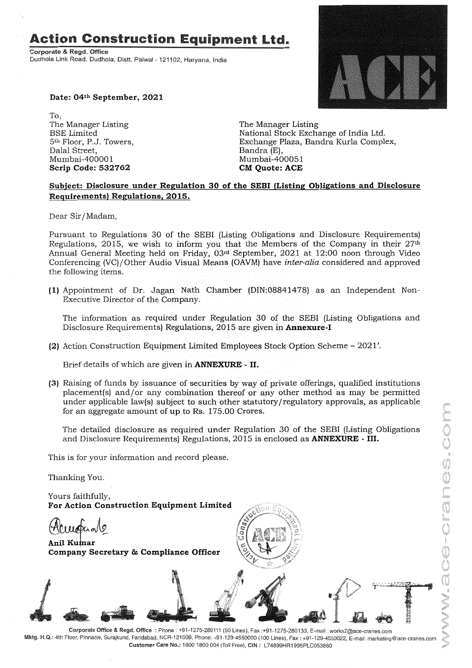# **Action Construction** Equipment Ltd.

Corporate & Regd. Office Dudhola Link Road, Dudhola, Distt. Palwal- 121102, Haryana, India



Date: 04th September, 2021

To, The Manager Listing BSE Limited 5<sup>th</sup> Floor, P.J. Towers, Dalal Street, Mumbai-40000 1 Scrip Code: 532762

The Manager Listing National Stock Exchange of India Ltd. Exchange Plaza, Bandra Kurla Complex, Bandra (E), Mumbai-400051 CM Quote: ACE

#### Subject: Disclosure under Regulation 30 of the SEBI (Listing Obligations and Disclosure Requirements) Regulations. 2015.

Dear Sir/Madam,

Pursuant to Regulations 30 of the SEBI (Listing Obligations and Disclosure Requirements) Regulations, 2015, we wish to inform you that the Members of the Company in their  $27<sup>th</sup>$ Annual General Meeting held on Friday, 03rd September, 2021 at 12:00 noon through Video Conferencing (VC)/Other Audio Visual Means(OAVM) have *inter-alia* considered and approved the following items.

(1) Appointment of Dr. Jagan Nath Chamber (DIN:08841478) as an Independent Non-Executive Director of the Company.

The information as required under Regulation 30 of the SEBI (Listing Obligations and Disclosure Requirements) Regulations, 2015 are given in **Annexure-I** 

(2) Action Construction Equipment Limited Employees Stock Option Scheme - 2021'.

Brief details of which are given in **ANNEXURE** - II.

(3) Raising of funds by issuance of securities by way of private offerings, qualified institutions placement(s) and/or any combination thereof or any other method as may be permitted under applicable law(s) subject to such other statutory/regulatory approvals, as applicable for an aggregate amount of up to Rs. 175.00 Crores.

The detailed disclosure as required under Regulation 30 of the SEBI (Listing Obligations and Disclosure Requirements) Regulations, 2015 is enclosed as ANNEXURE- III.

This is for your information and record please.

Thanking You.

Yours faithfully, For Action Construction Equipment Limited

£

*.1*

*.L*

Huugus<br>Anil Kumar<br>Company S Company Secretary & Compliance Officer

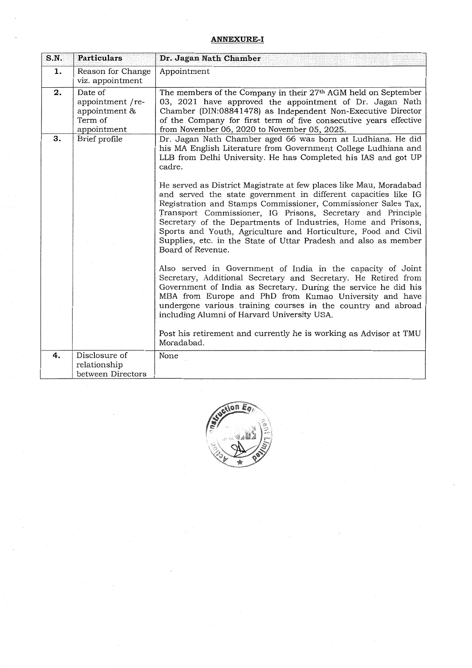#### **ANNEXURE-I**

| S.N. | <b>Particulars</b>                                                     | Dr. Jagan Nath Chamber                                                                                                                                                                                                                                                                                                                                                                                                                                                                           |  |
|------|------------------------------------------------------------------------|--------------------------------------------------------------------------------------------------------------------------------------------------------------------------------------------------------------------------------------------------------------------------------------------------------------------------------------------------------------------------------------------------------------------------------------------------------------------------------------------------|--|
| 1.   | Reason for Change<br>viz. appointment                                  | Appointment                                                                                                                                                                                                                                                                                                                                                                                                                                                                                      |  |
| 2.   | Date of<br>appointment /re-<br>appointment &<br>Term of<br>appointment | The members of the Company in their 27 <sup>th</sup> AGM held on September<br>03, 2021 have approved the appointment of Dr. Jagan Nath<br>Chamber (DIN:08841478) as Independent Non-Executive Director<br>of the Company for first term of five consecutive years effective<br>from November 06, 2020 to November 05, 2025.                                                                                                                                                                      |  |
| 3.   | Brief profile                                                          | Dr. Jagan Nath Chamber aged 66 was born at Ludhiana. He did<br>his MA English Literature from Government College Ludhiana and<br>LLB from Delhi University. He has Completed his IAS and got UP<br>cadre.                                                                                                                                                                                                                                                                                        |  |
|      |                                                                        | He served as District Magistrate at few places like Mau, Moradabad<br>and served the state government in different capacities like IG<br>Registration and Stamps Commissioner, Commissioner Sales Tax,<br>Transport Commissioner, IG Prisons, Secretary and Principle<br>Secretary of the Departments of Industries, Home and Prisons,<br>Sports and Youth, Agriculture and Horticulture, Food and Civil<br>Supplies, etc. in the State of Uttar Pradesh and also as member<br>Board of Revenue. |  |
|      |                                                                        | Also served in Government of India in the capacity of Joint<br>Secretary, Additional Secretary and Secretary. He Retired from<br>Government of India as Secretary. During the service he did his<br>MBA from Europe and PhD from Kumao University and have<br>undergone various training courses in the country and abroad<br>including Alumni of Harvard University USA.<br>Post his retirement and currently he is working as Advisor at TMU<br>Moradabad.                                     |  |
| 4.   | Disclosure of<br>relationship<br>between Directors                     | None                                                                                                                                                                                                                                                                                                                                                                                                                                                                                             |  |